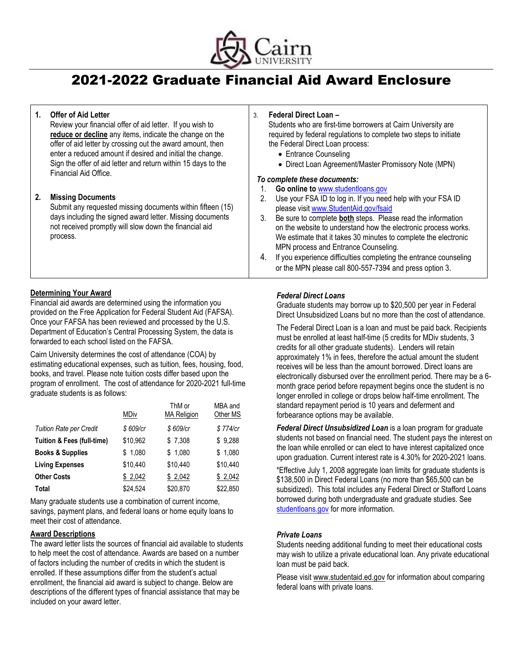

# 2021-2022 Graduate Financial Aid Award Enclosure

#### **1. Offer of Aid Letter** Review your financial offer of aid letter. If you wish to **reduce or decline** any items, indicate the change on the offer of aid letter by crossing out the award amount, then enter a reduced amount if desired and initial the change. Sign the offer of aid letter and return within 15 days to the Financial Aid Office. **2. Missing Documents** Submit any requested missing documents within fifteen (15) days including the signed award letter. Missing documents not received promptly will slow down the financial aid process. 3. **Federal Direct Loan –** Students who are first-time borrowers at Cairn University are the Federal Direct Loan process: • Entrance Counseling *To complete these documents:* 1. **Go online to** [www.studentloans.gov](http://www.studentloans.gov/) please visit [www.StudentAid.gov/fsaid](http://www.studentaid.gov/fsaid) MPN process and Entrance Counseling.

## **Determining Your Award**

Financial aid awards are determined using the information you provided on the Free Application for Federal Student Aid (FAFSA). Once your FAFSA has been reviewed and processed by the U.S. Department of Education's Central Processing System, the data is forwarded to each school listed on the FAFSA.

Cairn University determines the cost of attendance (COA) by estimating educational expenses, such as tuition, fees, housing, food, books, and travel. Please note tuition costs differ based upon the program of enrollment. The cost of attendance for 2020-2021 full-time graduate students is as follows:

|                                       | <b>MDiv</b> | ThM or<br><b>MA Religion</b> | MBA and<br>Other MS |
|---------------------------------------|-------------|------------------------------|---------------------|
| <b>Tuition Rate per Credit</b>        | \$609/cr    | \$609/cr                     | \$774/cr            |
| <b>Tuition &amp; Fees (full-time)</b> | \$10,962    | \$7,308                      | \$9,288             |
| <b>Books &amp; Supplies</b>           | \$1.080     | \$1,080                      | \$1,080             |
| <b>Living Expenses</b>                | \$10.440    | \$10.440                     | \$10,440            |
| <b>Other Costs</b>                    | \$2,042     | \$2,042                      | \$2,042             |
| Total                                 | \$24,524    | \$20,870                     | \$22,850            |

Many graduate students use a combination of current income, savings, payment plans, and federal loans or home equity loans to meet their cost of attendance.

### **Award Descriptions**

The award letter lists the sources of financial aid available to students to help meet the cost of attendance. Awards are based on a number of factors including the number of credits in which the student is enrolled. If these assumptions differ from the student's actual enrollment, the financial aid award is subject to change. Below are descriptions of the different types of financial assistance that may be included on your award letter.

required by federal regulations to complete two steps to initiate

- Direct Loan Agreement/Master Promissory Note (MPN)
- 2. Use your FSA ID to log in. If you need help with your FSA ID
- 3. Be sure to complete **both** steps. Please read the information on the website to understand how the electronic process works. We estimate that it takes 30 minutes to complete the electronic
- 4. If you experience difficulties completing the entrance counseling or the MPN please call 800-557-7394 and press option 3.

### *Federal Direct Loans*

Graduate students may borrow up to \$20,500 per year in Federal Direct Unsubsidized Loans but no more than the cost of attendance.

The Federal Direct Loan is a loan and must be paid back. Recipients must be enrolled at least half-time (5 credits for MDiv students, 3 credits for all other graduate students). Lenders will retain approximately 1% in fees, therefore the actual amount the student receives will be less than the amount borrowed. Direct loans are electronically disbursed over the enrollment period. There may be a 6 month grace period before repayment begins once the student is no longer enrolled in college or drops below half-time enrollment. The standard repayment period is 10 years and deferment and forbearance options may be available.

*Federal Direct Unsubsidized Loan* is a loan program for graduate students not based on financial need. The student pays the interest on the loan while enrolled or can elect to have interest capitalized once upon graduation. Current interest rate is 4.30% for 2020-2021 loans.

\*Effective July 1, 2008 aggregate loan limits for graduate students is \$138,500 in Direct Federal Loans (no more than \$65,500 can be subsidized). This total includes any Federal Direct or Stafford Loans borrowed during both undergraduate and graduate studies. See [studentloans.gov](https://studentloans.gov/myDirectLoan/launchPLUS.action?plusType=gradPlushttps://studentloans.gov/myDirectLoan/launchPLUS.action?plusType=gradPlus) for more information.

#### *Private Loans*

Students needing additional funding to meet their educational costs may wish to utilize a private educational loan. Any private educational loan must be paid back.

Please visit www.studentaid.ed.gov for information about comparing federal loans with private loans.